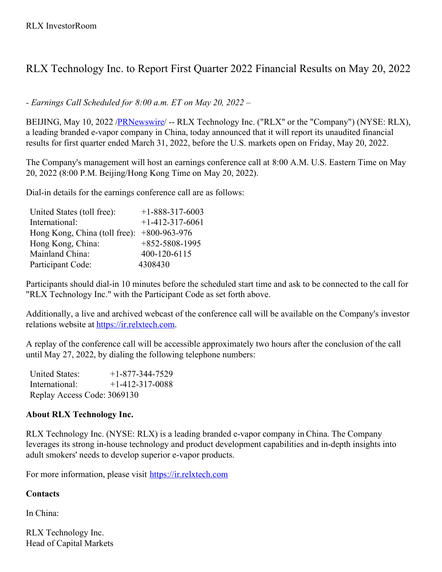## RLX Technology Inc. to Report First Quarter 2022 Financial Results on May 20, 2022

*- Earnings Call Scheduled for 8:00 a.m. ET on May 20, 2022 –*

BEIJING, May 10, 2022 /**PRNewswire/ -- RLX Technology Inc.** ("RLX" or the "Company") (NYSE: RLX), a leading branded e-vapor company in China, today announced that it will report its unaudited financial results for first quarter ended March 31, 2022, before the U.S. markets open on Friday, May 20, 2022.

The Company's management will host an earnings conference call at 8:00 A.M. U.S. Eastern Time on May 20, 2022 (8:00 P.M. Beijing/Hong Kong Time on May 20, 2022).

Dial-in details for the earnings conference call are as follows:

| United States (toll free):    | $+1 - 888 - 317 - 6003$ |
|-------------------------------|-------------------------|
| International:                | $+1-412-317-6061$       |
| Hong Kong, China (toll free): | $+800 - 963 - 976$      |
| Hong Kong, China:             | $+852 - 5808 - 1995$    |
| Mainland China:               | 400-120-6115            |
| Participant Code:             | 4308430                 |

Participants should dial-in 10 minutes before the scheduled start time and ask to be connected to the call for "RLX Technology Inc." with the Participant Code as set forth above.

Additionally, a live and archived webcast of the conference call will be available on the Company's investor relations website at [https://ir.relxtech.com](https://ir.relxtech.com/).

A replay of the conference call will be accessible approximately two hours after the conclusion of the call until May 27, 2022, by dialing the following telephone numbers:

| <b>United States:</b>       | $+1-877-344-7529$ |
|-----------------------------|-------------------|
| International:              | $+1-412-317-0088$ |
| Replay Access Code: 3069130 |                   |

## **About RLX Technology Inc.**

RLX Technology Inc. (NYSE: RLX) is a leading branded e-vapor company in China. The Company leverages its strong in-house technology and product development capabilities and in-depth insights into adult smokers' needs to develop superior e-vapor products.

For more information, please visit [https://ir.relxtech.com](https://ir.relxtech.com/)

## **Contacts**

In China:

RLX Technology Inc. Head of Capital Markets